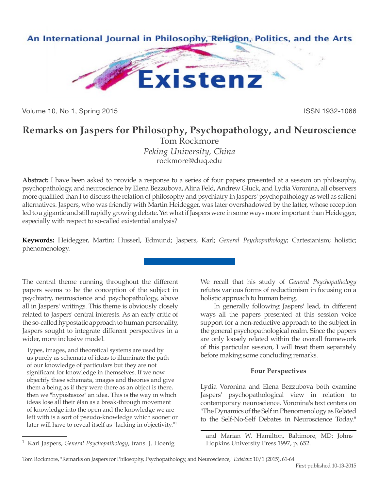

Volume 10, No 1, Spring 2015 **ISSN 1932-1066** ISSN 1932-1066

## **Remarks on Jaspers for Philosophy, Psychopathology, and Neuroscience**

Tom Rockmore *Peking University, China* rockmore@duq.edu

**Abstract:** I have been asked to provide a response to a series of four papers presented at a session on philosophy, psychopathology, and neuroscience by Elena Bezzubova, Alina Feld, Andrew Gluck, and Lydia Voronina, all observers more qualified than I to discuss the relation of philosophy and psychiatry in Jaspers' psychopathology as well as salient alternatives. Jaspers, who was friendly with Martin Heidegger, was later overshadowed by the latter, whose reception led to a gigantic and still rapidly growing debate. Yet what if Jaspers were in some ways more important than Heidegger, especially with respect to so-called existential analysis?

**Keywords:** Heidegger, Martin; Husserl, Edmund; Jaspers, Karl; *General Psychopathology*; Cartesianism; holistic; phenomenology.

The central theme running throughout the different papers seems to be the conception of the subject in psychiatry, neuroscience and psychopathology, above all in Jaspers' writings. This theme is obviously closely related to Jaspers' central interests. As an early critic of the so-called hypostatic approach to human personality, Jaspers sought to integrate different perspectives in a wider, more inclusive model.

Types, images, and theoretical systems are used by us purely as schemata of ideas to illuminate the path of our knowledge of particulars but they are not significant for knowledge in themselves. If we now objectify these schemata, images and theories and give them a being as if they were there as an object is there, then we "hypostasize" an idea. This is the way in which ideas lose all their élan as a break-through movement of knowledge into the open and the knowledge we are left with is a sort of pseudo-knowledge which sooner or later will have to reveal itself as "lacking in objectivity."<sup>1</sup>

We recall that his study of *General Psychopathology* refutes various forms of reductionism in focusing on a holistic approach to human being.

In generally following Jaspers' lead, in different ways all the papers presented at this session voice support for a non-reductive approach to the subject in the general psychopathological realm. Since the papers are only loosely related within the overall framework of this particular session, I will treat them separately before making some concluding remarks.

## **Four Perspectives**

Lydia Voronina and Elena Bezzubova both examine Jaspers' psychopathological view in relation to contemporary neuroscience. Voronina's text centers on "The Dynamics of the Self in Phenomenology as Related to the Self-No-Self Debates in Neuroscience Today."

and Marian W. Hamilton, Baltimore, MD: Johns Hopkins University Press 1997, p. 652.

<sup>1</sup> Karl Jaspers, *General Psychopathology*, trans. J. Hoenig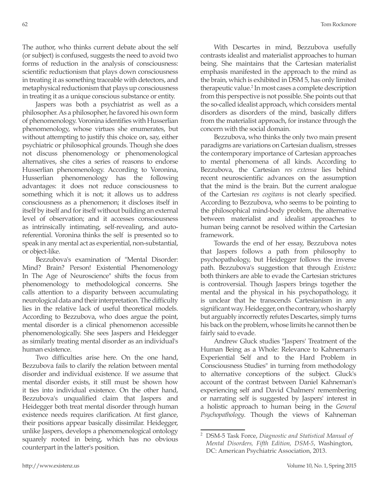The author, who thinks current debate about the self (or subject) is confused, suggests the need to avoid two forms of reduction in the analysis of consciousness: scientific reductionism that plays down consciousness in treating it as something traceable with detectors, and metaphysical reductionism that plays up consciousness in treating it as a unique conscious substance or entity.

Jaspers was both a psychiatrist as well as a philosopher. As a philosopher, he favored his own form of phenomenology. Voronina identifies with Husserlian phenomenology, whose virtues she enumerates, but without attempting to justify this choice on, say, either psychiatric or philosophical grounds. Though she does not discuss phenomenology or phenomenological alternatives, she cites a series of reasons to endorse Husserlian phenomenology. According to Voronina, Husserlian phenomenology has the following advantages: it does not reduce consciousness to something which it is not; it allows us to address consciousness as a phenomenon; it discloses itself in itself by itself and for itself without building an external level of observation; and it accesses consciousness as intrinsically intimating, self-revealing, and autoreferential. Voronina thinks the self is presented so to speak in any mental act as experiential, non-substantial, or object-like.

Bezzubova's examination of "Mental Disorder: Mind? Brain? Person! Existential Phenomenology In The Age of Neuroscience" shifts the focus from phenomenology to methodological concerns. She calls attention to a disparity between accumulating neurological data and their interpretation. The difficulty lies in the relative lack of useful theoretical models. According to Bezzubova, who does argue the point, mental disorder is a clinical phenomenon accessible phenomenologically. She sees Jaspers and Heidegger as similarly treating mental disorder as an individual's human existence.

Two difficulties arise here. On the one hand, Bezzubova fails to clarify the relation between mental disorder and individual existence. If we assume that mental disorder exists, it still must be shown how it ties into individual existence. On the other hand, Bezzubova's unqualified claim that Jaspers and Heidegger both treat mental disorder through human existence needs requires clarification. At first glance, their positions appear basically dissimilar. Heidegger, unlike Jaspers, develops a phenomenological ontology squarely rooted in being, which has no obvious counterpart in the latter's position.

With Descartes in mind, Bezzubova usefully contrasts idealist and materialist approaches to human being. She maintains that the Cartesian materialist emphasis manifested in the approach to the mind as the brain, which is exhibited in DSM 5, has only limited therapeutic value.<sup>2</sup> In most cases a complete description from this perspective is not possible. She points out that the so-called idealist approach, which considers mental disorders as disorders of the mind, basically differs from the materialist approach, for instance through the concern with the social domain.

Bezzubova, who thinks the only two main present paradigms are variations on Cartesian dualism, stresses the contemporary importance of Cartesian approaches to mental phenomena of all kinds. According to Bezzubova, the Cartesian *res extensa* lies behind recent neuroscientific advances on the assumption that the mind is the brain. But the current analogue of the Cartesian *res cogitans* is not clearly specified. According to Bezzubova, who seems to be pointing to the philosophical mind-body problem, the alternative between materialist and idealist approaches to human being cannot be resolved within the Cartesian framework.

Towards the end of her essay, Bezzubova notes that Jaspers follows a path from philosophy to psychopathology, but Heidegger follows the inverse path. Bezzubova's suggestion that through *Existenz* both thinkers are able to evade the Cartesian strictures is controversial. Though Jaspers brings together the mental and the physical in his psychopathology, it is unclear that he transcends Cartesianism in any significant way. Heidegger, on the contrary, who sharply but arguably incorrectly refutes Descartes, simply turns his back on the problem, whose limits he cannot then be fairly said to evade.

Andrew Gluck studies "Jaspers' Treatment of the Human Being as a Whole: Relevance to Kahneman's Experiential Self and to the Hard Problem in Consciousness Studies" in turning from methodology to alternative conceptions of the subject. Gluck's account of the contrast between Daniel Kahneman's experiencing self and David Chalmers' remembering or narrating self is suggested by Jaspers' interest in a holistic approach to human being in the *General Psychopathology*. Though the views of Kahneman

<sup>2</sup> DSM-5 Task Force, *Diagnostic and Statistical Manual of Mental Disorders, Fifth Edition, DSM-5*, Washington, DC: American Psychiatric Association, 2013.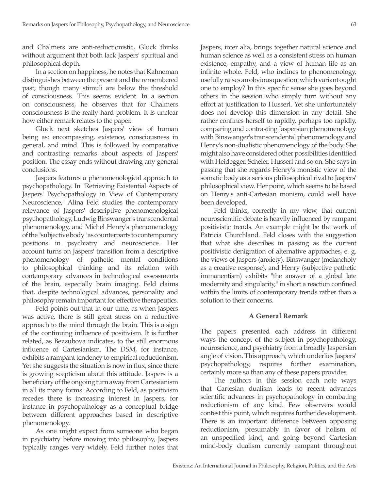and Chalmers are anti-reductionistic, Gluck thinks without argument that both lack Jaspers' spiritual and philosophical depth.

In a section on happiness, he notes that Kahneman distinguishes between the present and the remembered past, though many stimuli are below the threshold of consciousness. This seems evident. In a section on consciousness, he observes that for Chalmers consciousness is the really hard problem. It is unclear how either remark relates to the paper.

Gluck next sketches Jaspers' view of human being as: encompassing, existence, consciousness in general, and mind. This is followed by comparative and contrasting remarks about aspects of Jaspers' position. The essay ends without drawing any general conclusions.

Jaspers features a phenomenological approach to psychopathology. In "Retrieving Existential Aspects of Jaspers' Psychopathology in View of Contemporary Neuroscience," Alina Feld studies the contemporary relevance of Jaspers' descriptive phenomenological psychopathology, Ludwig Binswanger's transcendental phenomenology, and Michel Henry's phenomenology of the "subjective body" as counterparts to contemporary positions in psychiatry and neuroscience. Her account turns on Jaspers' transition from a descriptive phenomenology of pathetic mental conditions to philosophical thinking and its relation with contemporary advances in technological assessments of the brain, especially brain imaging. Feld claims that, despite technological advances, personality and philosophy remain important for effective therapeutics.

Feld points out that in our time, as when Jaspers was active, there is still great stress on a reductive approach to the mind through the brain. This is a sign of the continuing influence of positivism. It is further related, as Bezzubova indicates, to the still enormous influence of Cartesianism. The *DSM*, for instance, exhibits a rampant tendency to empirical reductionism. Yet she suggests the situation is now in flux, since there is growing scepticism about this attitude. Jaspers is a beneficiary of the ongoing turn away from Cartesianism in all its many forms. According to Feld, as positivism recedes there is increasing interest in Jaspers, for instance in psychopathology as a conceptual bridge between different approaches based in descriptive phenomenology.

As one might expect from someone who began in psychiatry before moving into philosophy, Jaspers typically ranges very widely. Feld further notes that Jaspers, inter alia, brings together natural science and human science as well as a consistent stress on human existence, empathy, and a view of human life as an infinite whole. Feld, who inclines to phenomenology, usefully raises an obvious question: which variant ought one to employ? In this specific sense she goes beyond others in the session who simply turn without any effort at justification to Husserl. Yet she unfortunately does not develop this dimension in any detail. She rather confines herself to rapidly, perhaps too rapidly, comparing and contrasting Jaspersian phenomenology with Binswanger's transcendental phenomenology and Henry's non-dualistic phenomenology of the body. She might also have considered other possibilities identified with Heidegger, Scheler, Husserl and so on. She says in passing that she regards Henry's monistic view of the somatic body as a serious philosophical rival to Jaspers' philosophical view. Her point, which seems to be based on Henry's anti-Cartesian monism, could well have been developed.

Feld thinks, correctly in my view, that current neuroscientific debate is heavily influenced by rampant positivistic trends. An example might be the work of Patricia Churchland. Feld closes with the suggestion that what she describes in passing as the current positivistic denigration of alternative approaches, e. g. the views of Jaspers (anxiety), Binswanger (melancholy as a creative response), and Henry (subjective pathetic immanentism) exhibits "the answer of a global late modernity and singularity," in short a reaction confined within the limits of contemporary trends rather than a solution to their concerns.

## **A General Remark**

The papers presented each address in different ways the concept of the subject in psychopathology, neuroscience, and psychiatry from a broadly Jaspersian angle of vision. This approach, which underlies Jaspers' psychopathology, requires further examination, certainly more so than any of these papers provides.

The authors in this session each note ways that Cartesian dualism leads to recent advances scientific advances in psychopathology in combating reductionism of any kind. Few observers would contest this point, which requires further development. There is an important difference between opposing reductionism, presumably in favor of holism of an unspecified kind, and going beyond Cartesian mind-body dualism currently rampant throughout